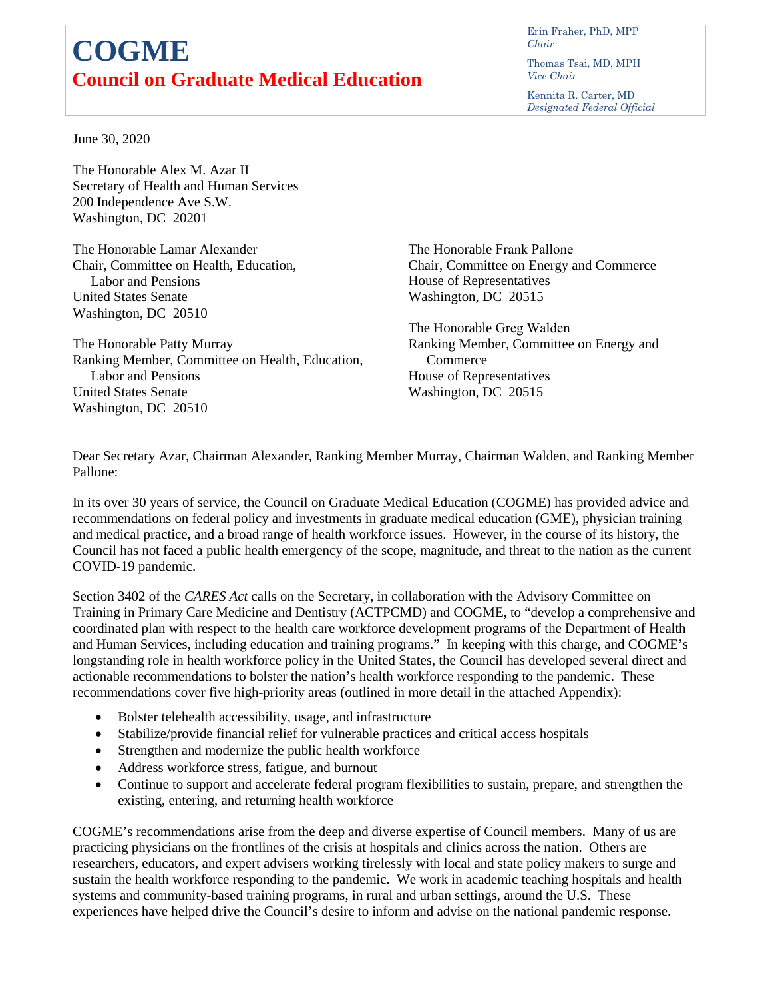## **COGME Council on Graduate Medical Education**

Erin Fraher, PhD, MPP *Chair*

Thomas Tsai, MD, MPH *Vice Chair* 

Kennita R. Carter, MD *Designated Federal Official*

June 30, 2020

The Honorable Alex M. Azar II Secretary of Health and Human Services 200 Independence Ave S.W. Washington, DC 20201

The Honorable Lamar Alexander Chair, Committee on Health, Education, Labor and Pensions United States Senate Washington, DC 20510

The Honorable Patty Murray Ranking Member, Committee on Health, Education, Labor and Pensions United States Senate Washington, DC 20510

The Honorable Frank Pallone Chair, Committee on Energy and Commerce House of Representatives Washington, DC 20515

The Honorable Greg Walden Ranking Member, Committee on Energy and **Commerce** House of Representatives Washington, DC 20515

Dear Secretary Azar, Chairman Alexander, Ranking Member Murray, Chairman Walden, and Ranking Member Pallone:

In its over 30 years of service, the Council on Graduate Medical Education (COGME) has provided advice and recommendations on federal policy and investments in graduate medical education (GME), physician training and medical practice, and a broad range of health workforce issues. However, in the course of its history, the Council has not faced a public health emergency of the scope, magnitude, and threat to the nation as the current COVID-19 pandemic.

Section 3402 of the *CARES Act* calls on the Secretary, in collaboration with the Advisory Committee on Training in Primary Care Medicine and Dentistry (ACTPCMD) and COGME, to "develop a comprehensive and coordinated plan with respect to the health care workforce development programs of the Department of Health and Human Services, including education and training programs." In keeping with this charge, and COGME's longstanding role in health workforce policy in the United States, the Council has developed several direct and actionable recommendations to bolster the nation's health workforce responding to the pandemic. These recommendations cover five high-priority areas (outlined in more detail in the attached Appendix):

- Bolster telehealth accessibility, usage, and infrastructure
- Stabilize/provide financial relief for vulnerable practices and critical access hospitals
- Strengthen and modernize the public health workforce
- Address workforce stress, fatigue, and burnout
- Continue to support and accelerate federal program flexibilities to sustain, prepare, and strengthen the existing, entering, and returning health workforce

COGME's recommendations arise from the deep and diverse expertise of Council members. Many of us are practicing physicians on the frontlines of the crisis at hospitals and clinics across the nation. Others are researchers, educators, and expert advisers working tirelessly with local and state policy makers to surge and sustain the health workforce responding to the pandemic. We work in academic teaching hospitals and health systems and community-based training programs, in rural and urban settings, around the U.S. These experiences have helped drive the Council's desire to inform and advise on the national pandemic response.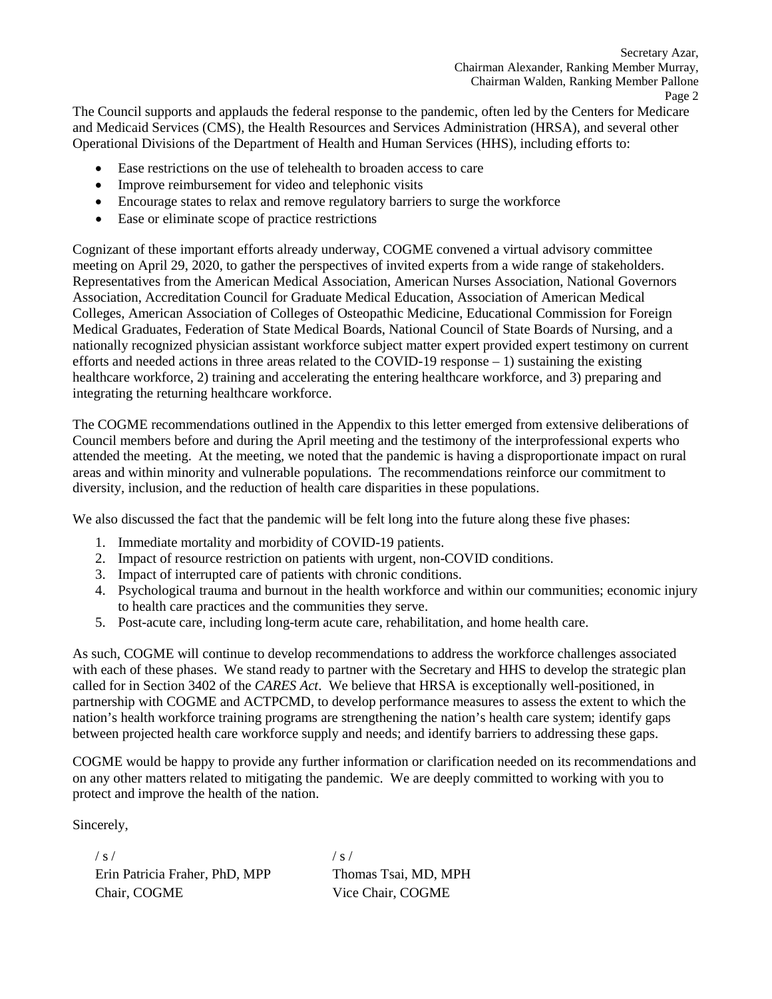The Council supports and applauds the federal response to the pandemic, often led by the Centers for Medicare and Medicaid Services (CMS), the Health Resources and Services Administration (HRSA), and several other Operational Divisions of the Department of Health and Human Services (HHS), including efforts to:

- Ease restrictions on the use of telehealth to broaden access to care
- Improve reimbursement for video and telephonic visits
- Encourage states to relax and remove regulatory barriers to surge the workforce
- Ease or eliminate scope of practice restrictions

Cognizant of these important efforts already underway, COGME convened a virtual advisory committee meeting on April 29, 2020, to gather the perspectives of invited experts from a wide range of stakeholders. Representatives from the American Medical Association, American Nurses Association, National Governors Association, Accreditation Council for Graduate Medical Education, Association of American Medical Colleges, American Association of Colleges of Osteopathic Medicine, Educational Commission for Foreign Medical Graduates, Federation of State Medical Boards, National Council of State Boards of Nursing, and a nationally recognized physician assistant workforce subject matter expert provided expert testimony on current efforts and needed actions in three areas related to the COVID-19 response – 1) sustaining the existing healthcare workforce, 2) training and accelerating the entering healthcare workforce, and 3) preparing and integrating the returning healthcare workforce.

The COGME recommendations outlined in the Appendix to this letter emerged from extensive deliberations of Council members before and during the April meeting and the testimony of the interprofessional experts who attended the meeting. At the meeting, we noted that the pandemic is having a disproportionate impact on rural areas and within minority and vulnerable populations. The recommendations reinforce our commitment to diversity, inclusion, and the reduction of health care disparities in these populations.

We also discussed the fact that the pandemic will be felt long into the future along these five phases:

- 1. Immediate mortality and morbidity of COVID-19 patients.
- 2. Impact of resource restriction on patients with urgent, non-COVID conditions.
- 3. Impact of interrupted care of patients with chronic conditions.
- 4. Psychological trauma and burnout in the health workforce and within our communities; economic injury to health care practices and the communities they serve.
- 5. Post-acute care, including long-term acute care, rehabilitation, and home health care.

As such, COGME will continue to develop recommendations to address the workforce challenges associated with each of these phases. We stand ready to partner with the Secretary and HHS to develop the strategic plan called for in Section 3402 of the *CARES Act*. We believe that HRSA is exceptionally well-positioned, in partnership with COGME and ACTPCMD, to develop performance measures to assess the extent to which the nation's health workforce training programs are strengthening the nation's health care system; identify gaps between projected health care workforce supply and needs; and identify barriers to addressing these gaps.

COGME would be happy to provide any further information or clarification needed on its recommendations and on any other matters related to mitigating the pandemic. We are deeply committed to working with you to protect and improve the health of the nation.

Sincerely,

 $/ s /$ Erin Patricia Fraher, PhD, MPP Chair, COGME

 $/ s /$ Thomas Tsai, MD, MPH Vice Chair, COGME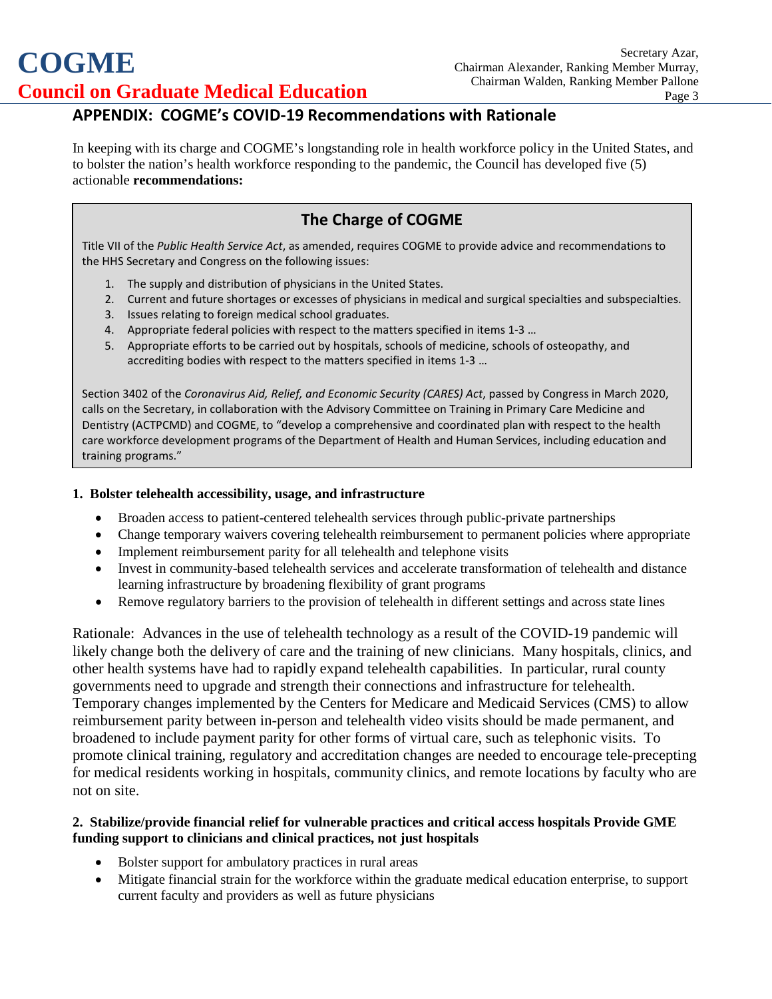# **COGME Council on Graduate Medical Education**

### **APPENDIX: COGME's COVID-19 Recommendations with Rationale**

In keeping with its charge and COGME's longstanding role in health workforce policy in the United States, and to bolster the nation's health workforce responding to the pandemic, the Council has developed five (5) actionable **recommendations:**

## **The Charge of COGME**

Title VII of the *Public Health Service Act*, as amended, requires COGME to provide advice and recommendations to the HHS Secretary and Congress on the following issues:

- 1. The supply and distribution of physicians in the United States.
- 2. Current and future shortages or excesses of physicians in medical and surgical specialties and subspecialties.
- 3. Issues relating to foreign medical school graduates.
- 4. Appropriate federal policies with respect to the matters specified in items 1-3 …
- 5. Appropriate efforts to be carried out by hospitals, schools of medicine, schools of osteopathy, and accrediting bodies with respect to the matters specified in items 1-3 …

Section 3402 of the *Coronavirus Aid, Relief, and Economic Security (CARES) Act*, passed by Congress in March 2020, calls on the Secretary, in collaboration with the Advisory Committee on Training in Primary Care Medicine and Dentistry (ACTPCMD) and COGME, to "develop a comprehensive and coordinated plan with respect to the health care workforce development programs of the Department of Health and Human Services, including education and training programs."

#### **1. Bolster telehealth accessibility, usage, and infrastructure**

- Broaden access to patient-centered telehealth services through public-private partnerships
- Change temporary waivers covering telehealth reimbursement to permanent policies where appropriate
- Implement reimbursement parity for all telehealth and telephone visits
- Invest in community-based telehealth services and accelerate transformation of telehealth and distance learning infrastructure by broadening flexibility of grant programs
- Remove regulatory barriers to the provision of telehealth in different settings and across state lines

Rationale: Advances in the use of telehealth technology as a result of the COVID-19 pandemic will likely change both the delivery of care and the training of new clinicians. Many hospitals, clinics, and other health systems have had to rapidly expand telehealth capabilities. In particular, rural county governments need to upgrade and strength their connections and infrastructure for telehealth. Temporary changes implemented by the Centers for Medicare and Medicaid Services (CMS) to allow reimbursement parity between in-person and telehealth video visits should be made permanent, and broadened to include payment parity for other forms of virtual care, such as telephonic visits. To promote clinical training, regulatory and accreditation changes are needed to encourage tele-precepting for medical residents working in hospitals, community clinics, and remote locations by faculty who are not on site.

#### **2. Stabilize/provide financial relief for vulnerable practices and critical access hospitals Provide GME funding support to clinicians and clinical practices, not just hospitals**

- Bolster support for ambulatory practices in rural areas
- Mitigate financial strain for the workforce within the graduate medical education enterprise, to support current faculty and providers as well as future physicians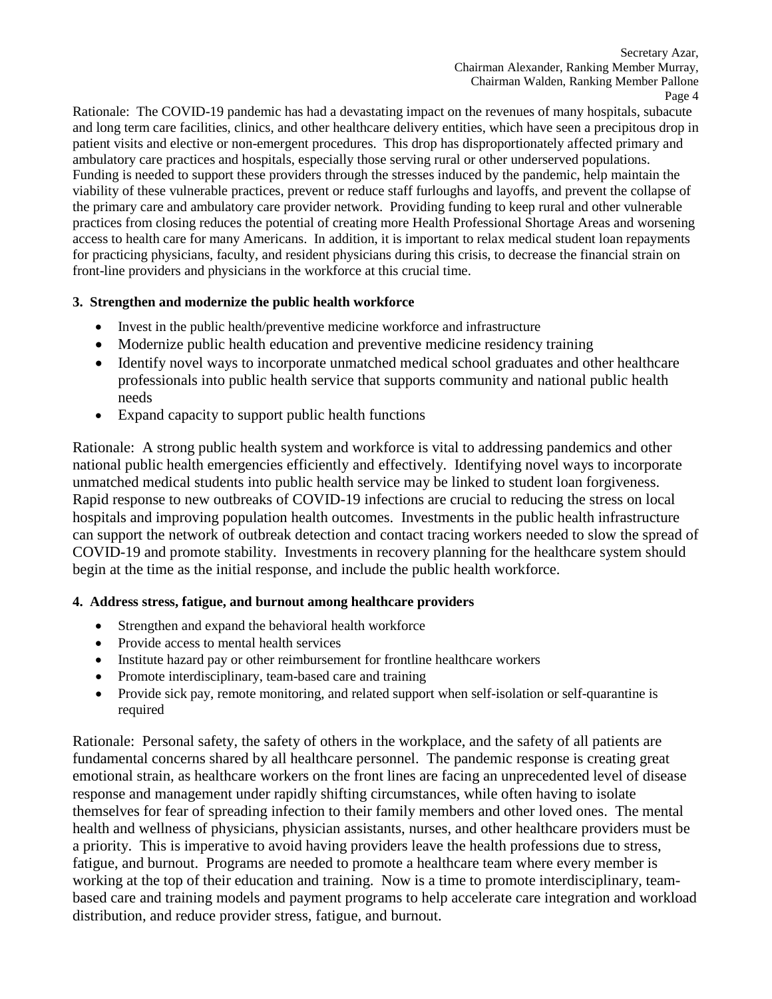Rationale: The COVID-19 pandemic has had a devastating impact on the revenues of many hospitals, subacute and long term care facilities, clinics, and other healthcare delivery entities, which have seen a precipitous drop in patient visits and elective or non-emergent procedures. This drop has disproportionately affected primary and ambulatory care practices and hospitals, especially those serving rural or other underserved populations. Funding is needed to support these providers through the stresses induced by the pandemic, help maintain the viability of these vulnerable practices, prevent or reduce staff furloughs and layoffs, and prevent the collapse of the primary care and ambulatory care provider network. Providing funding to keep rural and other vulnerable practices from closing reduces the potential of creating more Health Professional Shortage Areas and worsening access to health care for many Americans. In addition, it is important to relax medical student loan repayments for practicing physicians, faculty, and resident physicians during this crisis, to decrease the financial strain on front-line providers and physicians in the workforce at this crucial time.

#### **3. Strengthen and modernize the public health workforce**

- Invest in the public health/preventive medicine workforce and infrastructure
- Modernize public health education and preventive medicine residency training
- Identify novel ways to incorporate unmatched medical school graduates and other healthcare professionals into public health service that supports community and national public health needs
- Expand capacity to support public health functions

Rationale: A strong public health system and workforce is vital to addressing pandemics and other national public health emergencies efficiently and effectively. Identifying novel ways to incorporate unmatched medical students into public health service may be linked to student loan forgiveness. Rapid response to new outbreaks of COVID-19 infections are crucial to reducing the stress on local hospitals and improving population health outcomes. Investments in the public health infrastructure can support the network of outbreak detection and contact tracing workers needed to slow the spread of COVID-19 and promote stability. Investments in recovery planning for the healthcare system should begin at the time as the initial response, and include the public health workforce.

#### **4. Address stress, fatigue, and burnout among healthcare providers**

- Strengthen and expand the behavioral health workforce
- Provide access to mental health services
- Institute hazard pay or other reimbursement for frontline healthcare workers
- Promote interdisciplinary, team-based care and training
- Provide sick pay, remote monitoring, and related support when self-isolation or self-quarantine is required

Rationale: Personal safety, the safety of others in the workplace, and the safety of all patients are fundamental concerns shared by all healthcare personnel. The pandemic response is creating great emotional strain, as healthcare workers on the front lines are facing an unprecedented level of disease response and management under rapidly shifting circumstances, while often having to isolate themselves for fear of spreading infection to their family members and other loved ones. The mental health and wellness of physicians, physician assistants, nurses, and other healthcare providers must be a priority. This is imperative to avoid having providers leave the health professions due to stress, fatigue, and burnout. Programs are needed to promote a healthcare team where every member is working at the top of their education and training. Now is a time to promote interdisciplinary, teambased care and training models and payment programs to help accelerate care integration and workload distribution, and reduce provider stress, fatigue, and burnout.